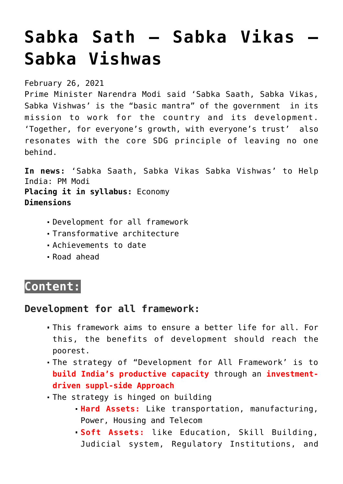# **[Sabka Sath – Sabka Vikas –](https://journalsofindia.com/sabka-sath-sabka-vikas-sabka-vishwas/) [Sabka Vishwas](https://journalsofindia.com/sabka-sath-sabka-vikas-sabka-vishwas/)**

February 26, 2021

Prime Minister Narendra Modi said 'Sabka Saath, Sabka Vikas, Sabka Vishwas' is the "basic mantra" of the government in its mission to work for the country and its development. 'Together, for everyone's growth, with everyone's trust' also resonates with the core SDG principle of leaving no one behind.

**In news:** 'Sabka Saath, Sabka Vikas Sabka Vishwas' to Help India: PM Modi **Placing it in syllabus:** Economy **Dimensions**

- Development for all framework
- Transformative architecture
- Achievements to date
- Road ahead

## **Content:**

## **Development for all framework:**

- This framework aims to ensure a better life for all. For this, the benefits of development should reach the poorest.
- The strategy of "Development for All Framework' is to **build India's productive capacity** through an **investmentdriven suppl-side Approach**
- The strategy is hinged on building
	- **Hard Assets:** Like transportation, manufacturing, Power, Housing and Telecom
	- **Soft Assets:** like Education, Skill Building, Judicial system, Regulatory Institutions, and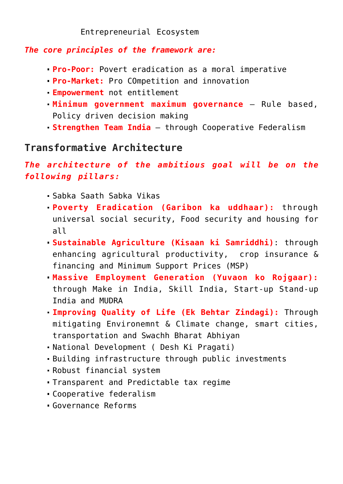#### Entrepreneurial Ecosystem

#### *The core principles of the framework are:*

- **Pro-Poor:** Povert eradication as a moral imperative
- **Pro-Market:** Pro COmpetition and innovation
- **Empowerment** not entitlement
- **Minimum government maximum governance** Rule based, Policy driven decision making
- **Strengthen Team India**  through Cooperative Federalism

## **Transformative Architecture**

## *The architecture of the ambitious goal will be on the following pillars:*

- Sabka Saath Sabka Vikas
- **Poverty Eradication (Garibon ka uddhaar):** through universal social security, Food security and housing for all
- **Sustainable Agriculture (Kisaan ki Samriddhi)**: through enhancing agricultural productivity, crop insurance & financing and Minimum Support Prices (MSP)
- **Massive Employment Generation (Yuvaon ko Rojgaar):** through Make in India, Skill India, Start-up Stand-up India and MUDRA
- **Improving Quality of Life (Ek Behtar Zindagi):** Through mitigating Environemnt & Climate change, smart cities, transportation and Swachh Bharat Abhiyan
- National Development ( Desh Ki Pragati)
- Building infrastructure through public investments
- Robust financial system
- Transparent and Predictable tax regime
- Cooperative federalism
- Governance Reforms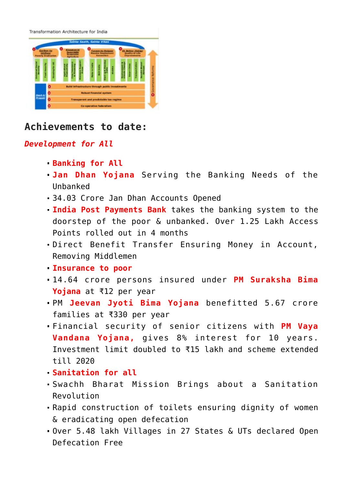Transformation Architecture for India

## **Achievements to date:**

#### *Development for All*

- **Banking for All**
- **Jan Dhan Yojana** Serving the Banking Needs of the Unbanked
- 34.03 Crore Jan Dhan Accounts Opened
- **India Post Payments Bank** takes the banking system to the doorstep of the poor & unbanked. Over 1.25 Lakh Access Points rolled out in 4 months
- Direct Benefit Transfer Ensuring Money in Account, Removing Middlemen
- **Insurance to poor**
- 14.64 crore persons insured under **PM Suraksha Bima Yojana** at ₹12 per year
- PM **Jeevan Jyoti Bima Yojana** benefitted 5.67 crore families at ₹330 per year
- Financial security of senior citizens with **PM Vaya Vandana Yojana,** gives 8% interest for 10 years. Investment limit doubled to ₹15 lakh and scheme extended till 2020
- **Sanitation for all**
- Swachh Bharat Mission Brings about a Sanitation Revolution
- Rapid construction of toilets ensuring dignity of women & eradicating open defecation
- Over 5.48 lakh Villages in 27 States & UTs declared Open Defecation Free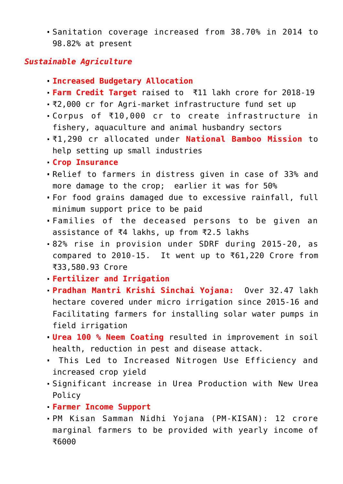Sanitation coverage increased from 38.70% in 2014 to 98.82% at present

#### *Sustainable Agriculture*

- **Increased Budgetary Allocation**
- **Farm Credit Target** raised to ₹11 lakh crore for 2018-19
- ₹2,000 cr for Agri-market infrastructure fund set up
- Corpus of ₹10,000 cr to create infrastructure in fishery, aquaculture and animal husbandry sectors
- ₹1,290 cr allocated under **National Bamboo Mission** to help setting up small industries
- **Crop Insurance**
- Relief to farmers in distress given in case of 33% and more damage to the crop; earlier it was for 50%
- For food grains damaged due to excessive rainfall, full minimum support price to be paid
- Families of the deceased persons to be given an assistance of ₹4 lakhs, up from ₹2.5 lakhs
- 82% rise in provision under SDRF during 2015-20, as compared to 2010-15. It went up to ₹61,220 Crore from ₹33,580.93 Crore
- **Fertilizer and Irrigation**
- **Pradhan Mantri Krishi Sinchai Yojana:** Over 32.47 lakh hectare covered under micro irrigation since 2015-16 and Facilitating farmers for installing solar water pumps in field irrigation
- **Urea 100 % Neem Coating** resulted in improvement in soil health, reduction in pest and disease attack.
- This Led to Increased Nitrogen Use Efficiency and increased crop yield
- Significant increase in Urea Production with New Urea Policy
- **Farmer Income Support**
- PM Kisan Samman Nidhi Yojana (PM-KISAN): 12 crore marginal farmers to be provided with yearly income of ₹6000